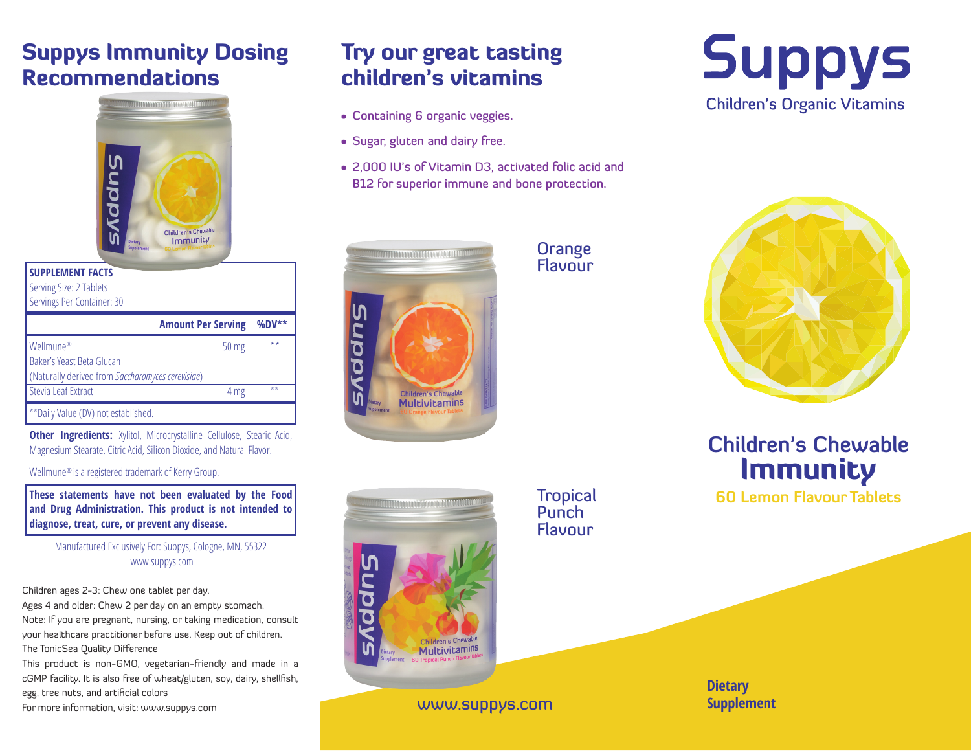# Suppys Immunity Dosing Recommendations



| <b>SUPPLEMENT FACTS</b><br>Serving Size: 2 Tablets<br>Servings Per Container: 30 |                           |          |
|----------------------------------------------------------------------------------|---------------------------|----------|
|                                                                                  | <b>Amount Per Serving</b> | $%DV***$ |
| Wellmune <sup>®</sup><br>Baker's Yeast Beta Glucan                               | 50 mg                     | $***$    |
| (Naturally derived from Saccharomyces cerevisiae)                                |                           |          |
| Stevia Leaf Extract                                                              | 4 mg                      | $+ +$    |
| ** Daily Value (DV) not established.                                             |                           |          |

**Other Ingredients:** Xylitol, Microcrystalline Cellulose, Stearic Acid, Magnesium Stearate, Citric Acid, Silicon Dioxide, and Natural Flavor.

Wellmune® is a registered trademark of Kerry Group.

**These statements have not been evaluated by the Food and Drug Administration. This product is not intended to diagnose, treat, cure, or prevent any disease.**

Manufactured Exclusively For: Suppys, Cologne, MN, 55322 www.suppys.com

Children ages 2-3: Chew one tablet per day.

Ages 4 and older: Chew 2 per day on an empty stomach. Note: If you are pregnant, nursing, or taking medication, consult your healthcare practitioner before use. Keep out of children. The TonicSea Quality Difference

This product is non-GMO, vegetarian-friendly and made in a cGMP facility. It is also free of wheat/gluten, soy, dairy, shellfish, egg, tree nuts, and artificial colors

For more information, visit: www.suppys.com

# Try our great tasting children's vitamins

- Containing 6 organic veggies.
- Sugar, gluten and dairy free.
- 2,000 IU's of Vitamin D3, activated folic acid and B12 for superior immune and bone protection.





**Orange Flavour** 

> **Tropical Punch** Flavour





**Children's Chewable Immunity** 

**60 Lemon Flavour Tablets**

www.suppys.com **Supplement** 

**Dietary**